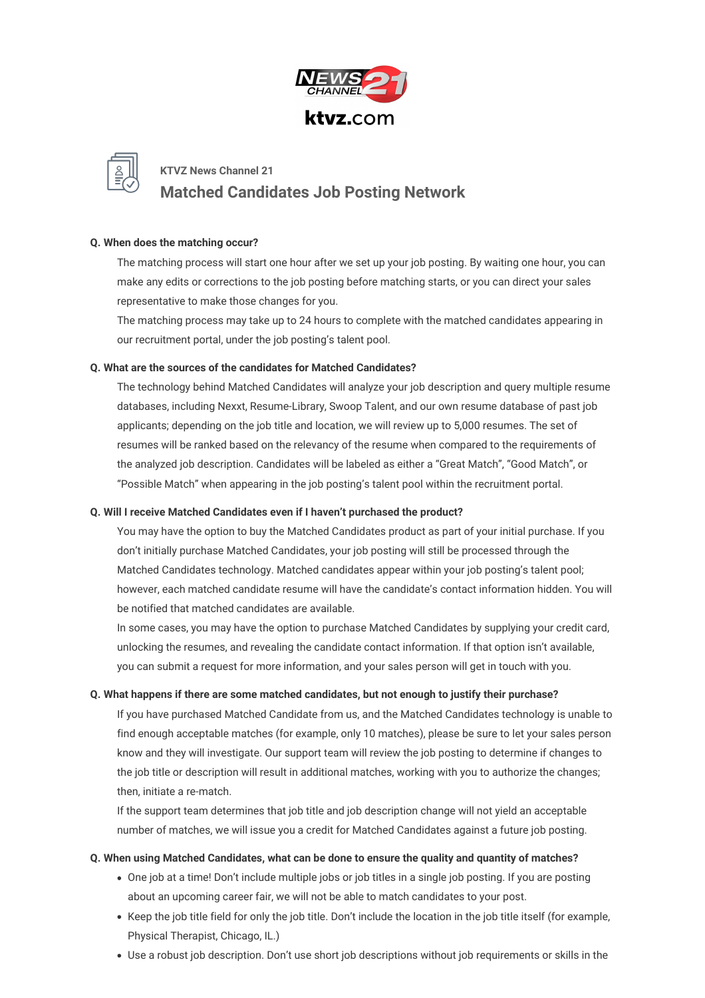



## **Q. When does the matching occur?**

The matching process will start one hour after we set up your job posting. By waiting one hour, you can make any edits or corrections to the job posting before matching starts, or you can direct your sales representative to make those changes for you.

The matching process may take up to 24 hours to complete with the matched candidates appearing in our recruitment portal, under the job posting's talent pool.

### **Q. What are the sources of the candidates for Matched Candidates?**

The technology behind Matched Candidates will analyze your job description and query multiple resume databases, including Nexxt, Resume-Library, Swoop Talent, and our own resume database of past job applicants; depending on the job title and location, we will review up to 5,000 resumes. The set of resumes will be ranked based on the relevancy of the resume when compared to the requirements of the analyzed job description. Candidates will be labeled as either a "Great Match", "Good Match", or "Possible Match" when appearing in the job posting's talent pool within the recruitment portal.

### **Q. Will I receive Matched Candidates even if I haven't purchased the product?**

You may have the option to buy the Matched Candidates product as part of your initial purchase. If you don't initially purchase Matched Candidates, your job posting will still be processed through the Matched Candidates technology. Matched candidates appear within your job posting's talent pool; however, each matched candidate resume will have the candidate's contact information hidden. You will be notified that matched candidates are available.

In some cases, you may have the option to purchase Matched Candidates by supplying your credit card, unlocking the resumes, and revealing the candidate contact information. If that option isn't available, you can submit a request for more information, and your sales person will get in touch with you.

## **Q. What happens if there are some matched candidates, but not enough to justify their purchase?**

If you have purchased Matched Candidate from us, and the Matched Candidates technology is unable to find enough acceptable matches (for example, only 10 matches), please be sure to let your sales person know and they will investigate. Our support team will review the job posting to determine if changes to the job title or description will result in additional matches, working with you to authorize the changes; then, initiate a re-match.

If the support team determines that job title and job description change will not yield an acceptable number of matches, we will issue you a credit for Matched Candidates against a future job posting.

### **Q. When using Matched Candidates, what can be done to ensure the quality and quantity of matches?**

- One job at a time! Don't include multiple jobs or job titles in a single job posting. If you are posting about an upcoming career fair, we will not be able to match candidates to your post.
- Keep the job title field for only the job title. Don't include the location in the job title itself (for example, Physical Therapist, Chicago, IL.)
- Use a robust job description. Don't use short job descriptions without job requirements or skills in the